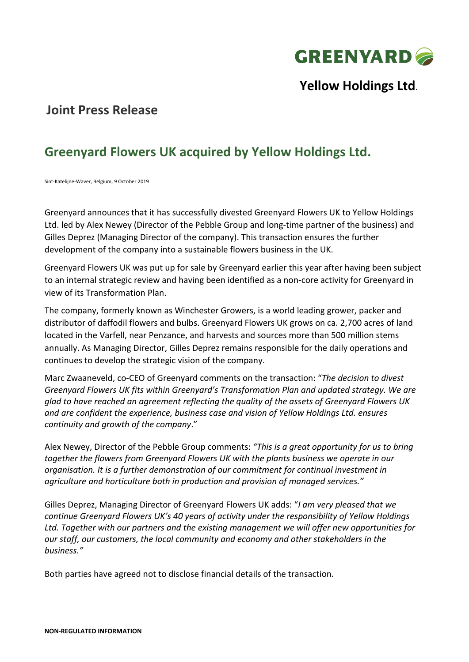

**Yellow Holdings Ltd**.

## **Joint Press Release**

# **Greenyard Flowers UK acquired by Yellow Holdings Ltd.**

Sint-Katelijne-Waver, Belgium, 9 October 2019

Greenyard announces that it has successfully divested Greenyard Flowers UK to Yellow Holdings Ltd. led by Alex Newey (Director of the Pebble Group and long-time partner of the business) and Gilles Deprez (Managing Director of the company). This transaction ensures the further development of the company into a sustainable flowers business in the UK.

Greenyard Flowers UK was put up for sale by Greenyard earlier this year after having been subject to an internal strategic review and having been identified as a non-core activity for Greenyard in view of its Transformation Plan.

The company, formerly known as Winchester Growers, is a world leading grower, packer and distributor of daffodil flowers and bulbs. Greenyard Flowers UK grows on ca. 2,700 acres of land located in the Varfell, near Penzance, and harvests and sources more than 500 million stems annually. As Managing Director, Gilles Deprez remains responsible for the daily operations and continues to develop the strategic vision of the company.

Marc Zwaaneveld, co-CEO of Greenyard comments on the transaction: "*The decision to divest Greenyard Flowers UK fits within Greenyard's Transformation Plan and updated strategy. We are glad to have reached an agreement reflecting the quality of the assets of Greenyard Flowers UK and are confident the experience, business case and vision of Yellow Holdings Ltd. ensures continuity and growth of the company*."

Alex Newey, Director of the Pebble Group comments: *"This is a great opportunity for us to bring together the flowers from Greenyard Flowers UK with the plants business we operate in our organisation. It is a further demonstration of our commitment for continual investment in agriculture and horticulture both in production and provision of managed services."*

Gilles Deprez, Managing Director of Greenyard Flowers UK adds: "*I am very pleased that we continue Greenyard Flowers UK's 40 years of activity under the responsibility of Yellow Holdings Ltd. Together with our partners and the existing management we will offer new opportunities for our staff, our customers, the local community and economy and other stakeholders in the business."*

Both parties have agreed not to disclose financial details of the transaction.